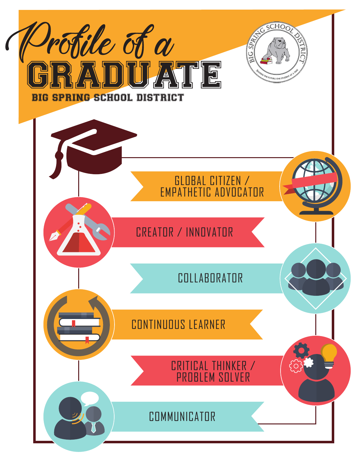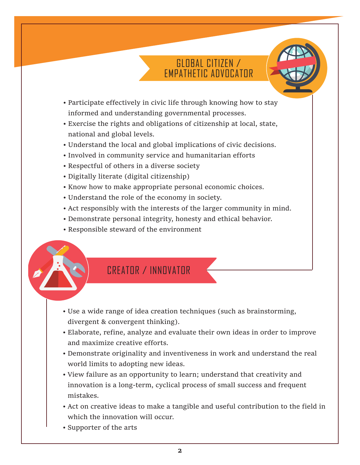# GLOBAL CITIZEN / EMPATHETIC ADVOCATOR

- Participate effectively in civic life through knowing how to stay informed and understanding governmental processes.
- Exercise the rights and obligations of citizenship at local, state, national and global levels.
- Understand the local and global implications of civic decisions.
- Involved in community service and humanitarian efforts
- Respectful of others in a diverse society
- Digitally literate (digital citizenship)
- Know how to make appropriate personal economic choices.
- Understand the role of the economy in society.
- Act responsibly with the interests of the larger community in mind.
- Demonstrate personal integrity, honesty and ethical behavior.
- Responsible steward of the environment

# CREATOR / INNOVATOR

- Use a wide range of idea creation techniques (such as brainstorming, divergent & convergent thinking).
- Elaborate, refine, analyze and evaluate their own ideas in order to improve and maximize creative efforts.
- Demonstrate originality and inventiveness in work and understand the real world limits to adopting new ideas.
- View failure as an opportunity to learn; understand that creativity and innovation is a long-term, cyclical process of small success and frequent mistakes.
- Act on creative ideas to make a tangible and useful contribution to the field in which the innovation will occur.
- Supporter of the arts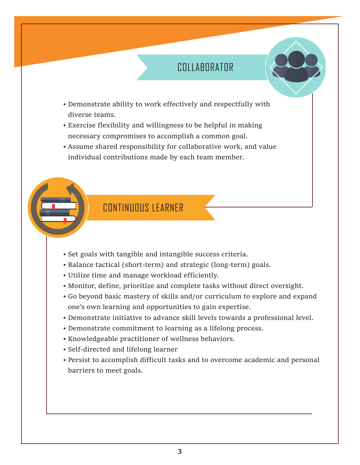# COLLABORATOR

- Demonstrate ability to work effectively and respectfully with diverse teams.
- Exercise flexibility and willingness to be helpful in making necessary compromises to accomplish a common goal.
- Assume shared responsibility for collaborative work, and value individual contributions made by each team member.

#### CONTINIIOUS LEARNER

- Set goals with tangible and intangible success criteria.
- Balance tactical (short-term) and strategic (long-term) goals.
- Utilize time and manage workload efficiently.
- Monitor, define, prioritize and complete tasks without direct oversight.
- Go beyond basic mastery of skills and/or curriculum to explore and expand one's own learning and opportunities to gain expertise.
- Demonstrate initiative to advance skill levels towards a professional level.
- Demonstrate commitment to learning as a lifelong process.
- Knowledgeable practitioner of wellness behaviors.
- Self-directed and lifelong learner
- Persist to accomplish difficult tasks and to overcome academic and personal barriers to meet goals.